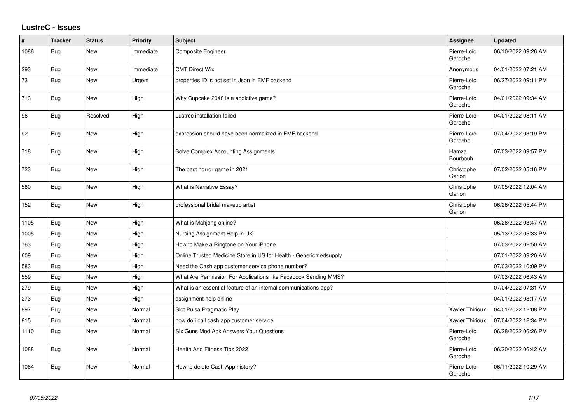## **LustreC - Issues**

| ∦    | <b>Tracker</b> | <b>Status</b> | Priority  | <b>Subject</b>                                                    | <b>Assignee</b>        | <b>Updated</b>      |
|------|----------------|---------------|-----------|-------------------------------------------------------------------|------------------------|---------------------|
| 1086 | Bug            | New           | Immediate | Composite Engineer                                                | Pierre-Loïc<br>Garoche | 06/10/2022 09:26 AM |
| 293  | Bug            | <b>New</b>    | Immediate | <b>CMT Direct Wix</b>                                             | Anonymous              | 04/01/2022 07:21 AM |
| 73   | Bug            | New           | Urgent    | properties ID is not set in Json in EMF backend                   | Pierre-Loïc<br>Garoche | 06/27/2022 09:11 PM |
| 713  | Bug            | <b>New</b>    | High      | Why Cupcake 2048 is a addictive game?                             | Pierre-Loïc<br>Garoche | 04/01/2022 09:34 AM |
| 96   | Bug            | Resolved      | High      | Lustrec installation failed                                       | Pierre-Loïc<br>Garoche | 04/01/2022 08:11 AM |
| 92   | Bug            | New           | High      | expression should have been normalized in EMF backend             | Pierre-Loïc<br>Garoche | 07/04/2022 03:19 PM |
| 718  | Bug            | New           | High      | Solve Complex Accounting Assignments                              | Hamza<br>Bourbouh      | 07/03/2022 09:57 PM |
| 723  | Bug            | New           | High      | The best horror game in 2021                                      | Christophe<br>Garion   | 07/02/2022 05:16 PM |
| 580  | Bug            | New           | High      | What is Narrative Essay?                                          | Christophe<br>Garion   | 07/05/2022 12:04 AM |
| 152  | Bug            | New           | High      | professional bridal makeup artist                                 | Christophe<br>Garion   | 06/26/2022 05:44 PM |
| 1105 | Bug            | <b>New</b>    | High      | What is Mahjong online?                                           |                        | 06/28/2022 03:47 AM |
| 1005 | Bug            | New           | High      | Nursing Assignment Help in UK                                     |                        | 05/13/2022 05:33 PM |
| 763  | Bug            | <b>New</b>    | High      | How to Make a Ringtone on Your iPhone                             |                        | 07/03/2022 02:50 AM |
| 609  | Bug            | New           | High      | Online Trusted Medicine Store in US for Health - Genericmedsupply |                        | 07/01/2022 09:20 AM |
| 583  | Bug            | New           | High      | Need the Cash app customer service phone number?                  |                        | 07/03/2022 10:09 PM |
| 559  | Bug            | New           | High      | What Are Permission For Applications like Facebook Sending MMS?   |                        | 07/03/2022 06:43 AM |
| 279  | Bug            | New           | High      | What is an essential feature of an internal communications app?   |                        | 07/04/2022 07:31 AM |
| 273  | Bug            | New           | High      | assignment help online                                            |                        | 04/01/2022 08:17 AM |
| 897  | Bug            | <b>New</b>    | Normal    | Slot Pulsa Pragmatic Play                                         | <b>Xavier Thirioux</b> | 04/01/2022 12:08 PM |
| 815  | Bug            | <b>New</b>    | Normal    | how do i call cash app customer service                           | Xavier Thirioux        | 07/04/2022 12:34 PM |
| 1110 | Bug            | New           | Normal    | Six Guns Mod Apk Answers Your Questions                           | Pierre-Loïc<br>Garoche | 06/28/2022 06:26 PM |
| 1088 | <b>Bug</b>     | New           | Normal    | Health And Fitness Tips 2022                                      | Pierre-Loïc<br>Garoche | 06/20/2022 06:42 AM |
| 1064 | <b>Bug</b>     | New           | Normal    | How to delete Cash App history?                                   | Pierre-Loïc<br>Garoche | 06/11/2022 10:29 AM |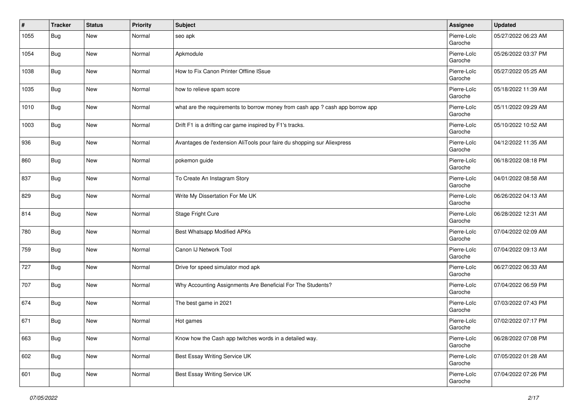| #    | <b>Tracker</b> | <b>Status</b> | <b>Priority</b> | <b>Subject</b>                                                                | Assignee               | <b>Updated</b>      |
|------|----------------|---------------|-----------------|-------------------------------------------------------------------------------|------------------------|---------------------|
| 1055 | <b>Bug</b>     | New           | Normal          | seo apk                                                                       | Pierre-Loïc<br>Garoche | 05/27/2022 06:23 AM |
| 1054 | <b>Bug</b>     | New           | Normal          | Apkmodule                                                                     | Pierre-Loïc<br>Garoche | 05/26/2022 03:37 PM |
| 1038 | <b>Bug</b>     | New           | Normal          | How to Fix Canon Printer Offline ISsue                                        | Pierre-Loïc<br>Garoche | 05/27/2022 05:25 AM |
| 1035 | <b>Bug</b>     | New           | Normal          | how to relieve spam score                                                     | Pierre-Loïc<br>Garoche | 05/18/2022 11:39 AM |
| 1010 | Bug            | New           | Normal          | what are the requirements to borrow money from cash app ? cash app borrow app | Pierre-Loïc<br>Garoche | 05/11/2022 09:29 AM |
| 1003 | <b>Bug</b>     | New           | Normal          | Drift F1 is a drifting car game inspired by F1's tracks.                      | Pierre-Loïc<br>Garoche | 05/10/2022 10:52 AM |
| 936  | <b>Bug</b>     | New           | Normal          | Avantages de l'extension AliTools pour faire du shopping sur Aliexpress       | Pierre-Loïc<br>Garoche | 04/12/2022 11:35 AM |
| 860  | Bug            | New           | Normal          | pokemon guide                                                                 | Pierre-Loïc<br>Garoche | 06/18/2022 08:18 PM |
| 837  | Bug            | New           | Normal          | To Create An Instagram Story                                                  | Pierre-Loïc<br>Garoche | 04/01/2022 08:58 AM |
| 829  | Bug            | New           | Normal          | Write My Dissertation For Me UK                                               | Pierre-Loïc<br>Garoche | 06/26/2022 04:13 AM |
| 814  | Bug            | New           | Normal          | Stage Fright Cure                                                             | Pierre-Loïc<br>Garoche | 06/28/2022 12:31 AM |
| 780  | Bug            | New           | Normal          | Best Whatsapp Modified APKs                                                   | Pierre-Loïc<br>Garoche | 07/04/2022 02:09 AM |
| 759  | Bug            | New           | Normal          | Canon IJ Network Tool                                                         | Pierre-Loïc<br>Garoche | 07/04/2022 09:13 AM |
| 727  | Bug            | New           | Normal          | Drive for speed simulator mod apk                                             | Pierre-Loïc<br>Garoche | 06/27/2022 06:33 AM |
| 707  | Bug            | New           | Normal          | Why Accounting Assignments Are Beneficial For The Students?                   | Pierre-Loïc<br>Garoche | 07/04/2022 06:59 PM |
| 674  | <b>Bug</b>     | New           | Normal          | The best game in 2021                                                         | Pierre-Loïc<br>Garoche | 07/03/2022 07:43 PM |
| 671  | Bug            | New           | Normal          | Hot games                                                                     | Pierre-Loïc<br>Garoche | 07/02/2022 07:17 PM |
| 663  | <b>Bug</b>     | New           | Normal          | Know how the Cash app twitches words in a detailed way.                       | Pierre-Loïc<br>Garoche | 06/28/2022 07:08 PM |
| 602  | <b>Bug</b>     | New           | Normal          | Best Essay Writing Service UK                                                 | Pierre-Loïc<br>Garoche | 07/05/2022 01:28 AM |
| 601  | <b>Bug</b>     | New           | Normal          | Best Essay Writing Service UK                                                 | Pierre-Loïc<br>Garoche | 07/04/2022 07:26 PM |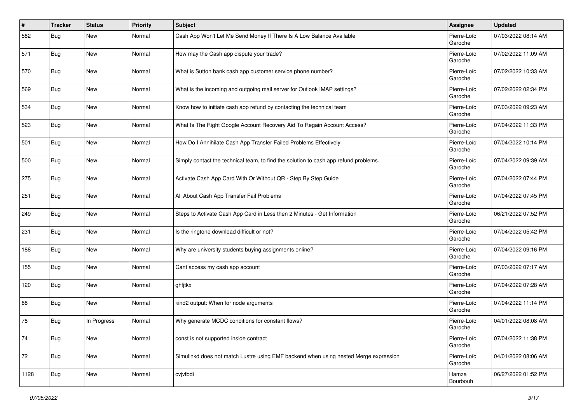| #    | <b>Tracker</b> | <b>Status</b> | <b>Priority</b> | <b>Subject</b>                                                                       | Assignee               | <b>Updated</b>      |
|------|----------------|---------------|-----------------|--------------------------------------------------------------------------------------|------------------------|---------------------|
| 582  | Bug            | New           | Normal          | Cash App Won't Let Me Send Money If There Is A Low Balance Available                 | Pierre-Loïc<br>Garoche | 07/03/2022 08:14 AM |
| 571  | <b>Bug</b>     | New           | Normal          | How may the Cash app dispute your trade?                                             | Pierre-Loïc<br>Garoche | 07/02/2022 11:09 AM |
| 570  | Bug            | New           | Normal          | What is Sutton bank cash app customer service phone number?                          | Pierre-Loïc<br>Garoche | 07/02/2022 10:33 AM |
| 569  | Bug            | New           | Normal          | What is the incoming and outgoing mail server for Outlook IMAP settings?             | Pierre-Loïc<br>Garoche | 07/02/2022 02:34 PM |
| 534  | Bug            | New           | Normal          | Know how to initiate cash app refund by contacting the technical team                | Pierre-Loïc<br>Garoche | 07/03/2022 09:23 AM |
| 523  | Bug            | New           | Normal          | What Is The Right Google Account Recovery Aid To Regain Account Access?              | Pierre-Loïc<br>Garoche | 07/04/2022 11:33 PM |
| 501  | Bug            | New           | Normal          | How Do I Annihilate Cash App Transfer Failed Problems Effectively                    | Pierre-Loïc<br>Garoche | 07/04/2022 10:14 PM |
| 500  | Bug            | New           | Normal          | Simply contact the technical team, to find the solution to cash app refund problems. | Pierre-Loïc<br>Garoche | 07/04/2022 09:39 AM |
| 275  | Bug            | New           | Normal          | Activate Cash App Card With Or Without QR - Step By Step Guide                       | Pierre-Loïc<br>Garoche | 07/04/2022 07:44 PM |
| 251  | Bug            | New           | Normal          | All About Cash App Transfer Fail Problems                                            | Pierre-Loïc<br>Garoche | 07/04/2022 07:45 PM |
| 249  | Bug            | New           | Normal          | Steps to Activate Cash App Card in Less then 2 Minutes - Get Information             | Pierre-Loïc<br>Garoche | 06/21/2022 07:52 PM |
| 231  | Bug            | New           | Normal          | Is the ringtone download difficult or not?                                           | Pierre-Loïc<br>Garoche | 07/04/2022 05:42 PM |
| 188  | Bug            | New           | Normal          | Why are university students buying assignments online?                               | Pierre-Loïc<br>Garoche | 07/04/2022 09:16 PM |
| 155  | Bug            | New           | Normal          | Cant access my cash app account                                                      | Pierre-Loïc<br>Garoche | 07/03/2022 07:17 AM |
| 120  | Bug            | New           | Normal          | ghfjtkx                                                                              | Pierre-Loïc<br>Garoche | 07/04/2022 07:28 AM |
| 88   | <b>Bug</b>     | New           | Normal          | kind2 output: When for node arguments                                                | Pierre-Loïc<br>Garoche | 07/04/2022 11:14 PM |
| 78   | Bug            | In Progress   | Normal          | Why generate MCDC conditions for constant flows?                                     | Pierre-Loïc<br>Garoche | 04/01/2022 08:08 AM |
| 74   | <b>Bug</b>     | New           | Normal          | const is not supported inside contract                                               | Pierre-Loïc<br>Garoche | 07/04/2022 11:38 PM |
| 72   | Bug            | New           | Normal          | Simulinkd does not match Lustre using EMF backend when using nested Merge expression | Pierre-Loïc<br>Garoche | 04/01/2022 08:06 AM |
| 1128 | <b>Bug</b>     | New           | Normal          | cvjvfbdi                                                                             | Hamza<br>Bourbouh      | 06/27/2022 01:52 PM |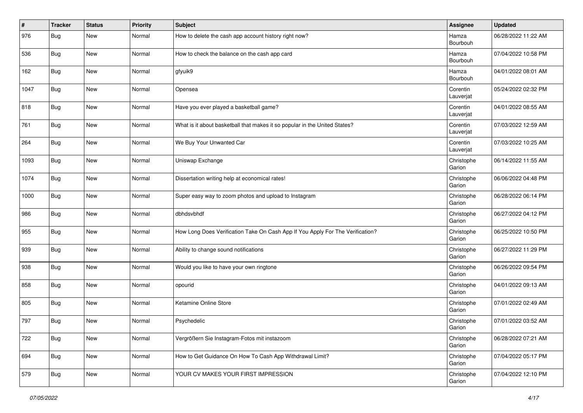| #    | <b>Tracker</b> | <b>Status</b> | <b>Priority</b> | <b>Subject</b>                                                                 | Assignee              | <b>Updated</b>      |
|------|----------------|---------------|-----------------|--------------------------------------------------------------------------------|-----------------------|---------------------|
| 976  | Bug            | New           | Normal          | How to delete the cash app account history right now?                          | Hamza<br>Bourbouh     | 06/28/2022 11:22 AM |
| 536  | Bug            | New           | Normal          | How to check the balance on the cash app card                                  | Hamza<br>Bourbouh     | 07/04/2022 10:58 PM |
| 162  | Bug            | New           | Normal          | gfyuik9                                                                        | Hamza<br>Bourbouh     | 04/01/2022 08:01 AM |
| 1047 | Bug            | New           | Normal          | Opensea                                                                        | Corentin<br>Lauverjat | 05/24/2022 02:32 PM |
| 818  | Bug            | New           | Normal          | Have you ever played a basketball game?                                        | Corentin<br>Lauverjat | 04/01/2022 08:55 AM |
| 761  | Bug            | New           | Normal          | What is it about basketball that makes it so popular in the United States?     | Corentin<br>Lauverjat | 07/03/2022 12:59 AM |
| 264  | Bug            | New           | Normal          | We Buy Your Unwanted Car                                                       | Corentin<br>Lauverjat | 07/03/2022 10:25 AM |
| 1093 | Bug            | New           | Normal          | Uniswap Exchange                                                               | Christophe<br>Garion  | 06/14/2022 11:55 AM |
| 1074 | <b>Bug</b>     | New           | Normal          | Dissertation writing help at economical rates!                                 | Christophe<br>Garion  | 06/06/2022 04:48 PM |
| 1000 | <b>Bug</b>     | New           | Normal          | Super easy way to zoom photos and upload to Instagram                          | Christophe<br>Garion  | 06/28/2022 06:14 PM |
| 986  | Bug            | New           | Normal          | dbhdsvbhdf                                                                     | Christophe<br>Garion  | 06/27/2022 04:12 PM |
| 955  | Bug            | New           | Normal          | How Long Does Verification Take On Cash App If You Apply For The Verification? | Christophe<br>Garion  | 06/25/2022 10:50 PM |
| 939  | Bug            | New           | Normal          | Ability to change sound notifications                                          | Christophe<br>Garion  | 06/27/2022 11:29 PM |
| 938  | Bug            | New           | Normal          | Would you like to have your own ringtone                                       | Christophe<br>Garion  | 06/26/2022 09:54 PM |
| 858  | Bug            | New           | Normal          | opourid                                                                        | Christophe<br>Garion  | 04/01/2022 09:13 AM |
| 805  | <b>Bug</b>     | New           | Normal          | Ketamine Online Store                                                          | Christophe<br>Garion  | 07/01/2022 02:49 AM |
| 797  | Bug            | New           | Normal          | Psychedelic                                                                    | Christophe<br>Garion  | 07/01/2022 03:52 AM |
| 722  | <b>Bug</b>     | New           | Normal          | Vergrößern Sie Instagram-Fotos mit instazoom                                   | Christophe<br>Garion  | 06/28/2022 07:21 AM |
| 694  | <b>Bug</b>     | New           | Normal          | How to Get Guidance On How To Cash App Withdrawal Limit?                       | Christophe<br>Garion  | 07/04/2022 05:17 PM |
| 579  | <b>Bug</b>     | New           | Normal          | YOUR CV MAKES YOUR FIRST IMPRESSION                                            | Christophe<br>Garion  | 07/04/2022 12:10 PM |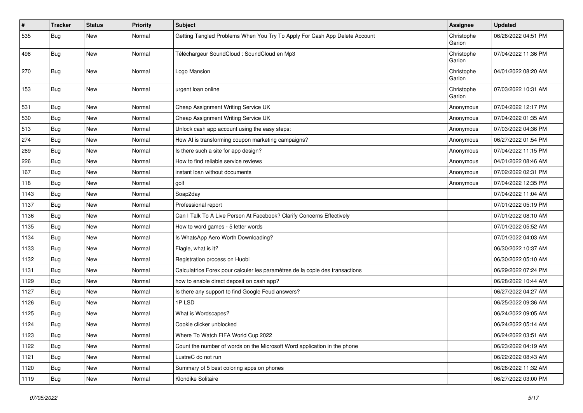| #    | <b>Tracker</b> | <b>Status</b> | <b>Priority</b> | <b>Subject</b>                                                               | Assignee             | <b>Updated</b>      |
|------|----------------|---------------|-----------------|------------------------------------------------------------------------------|----------------------|---------------------|
| 535  | <b>Bug</b>     | New           | Normal          | Getting Tangled Problems When You Try To Apply For Cash App Delete Account   | Christophe<br>Garion | 06/26/2022 04:51 PM |
| 498  | Bug            | New           | Normal          | Téléchargeur SoundCloud : SoundCloud en Mp3                                  | Christophe<br>Garion | 07/04/2022 11:36 PM |
| 270  | Bug            | New           | Normal          | Logo Mansion                                                                 | Christophe<br>Garion | 04/01/2022 08:20 AM |
| 153  | Bug            | New           | Normal          | urgent loan online                                                           | Christophe<br>Garion | 07/03/2022 10:31 AM |
| 531  | Bug            | New           | Normal          | Cheap Assignment Writing Service UK                                          | Anonymous            | 07/04/2022 12:17 PM |
| 530  | Bug            | New           | Normal          | Cheap Assignment Writing Service UK                                          | Anonymous            | 07/04/2022 01:35 AM |
| 513  | <b>Bug</b>     | New           | Normal          | Unlock cash app account using the easy steps:                                | Anonymous            | 07/03/2022 04:36 PM |
| 274  | <b>Bug</b>     | New           | Normal          | How AI is transforming coupon marketing campaigns?                           | Anonymous            | 06/27/2022 01:54 PM |
| 269  | Bug            | New           | Normal          | Is there such a site for app design?                                         | Anonymous            | 07/04/2022 11:15 PM |
| 226  | Bug            | New           | Normal          | How to find reliable service reviews                                         | Anonymous            | 04/01/2022 08:46 AM |
| 167  | Bug            | New           | Normal          | instant loan without documents                                               | Anonymous            | 07/02/2022 02:31 PM |
| 118  | Bug            | New           | Normal          | golf                                                                         | Anonymous            | 07/04/2022 12:35 PM |
| 1143 | <b>Bug</b>     | New           | Normal          | Soap2day                                                                     |                      | 07/04/2022 11:04 AM |
| 1137 | Bug            | New           | Normal          | Professional report                                                          |                      | 07/01/2022 05:19 PM |
| 1136 | Bug            | New           | Normal          | Can I Talk To A Live Person At Facebook? Clarify Concerns Effectively        |                      | 07/01/2022 08:10 AM |
| 1135 | Bug            | New           | Normal          | How to word games - 5 letter words                                           |                      | 07/01/2022 05:52 AM |
| 1134 | Bug            | New           | Normal          | Is WhatsApp Aero Worth Downloading?                                          |                      | 07/01/2022 04:03 AM |
| 1133 | Bug            | New           | Normal          | Flagle, what is it?                                                          |                      | 06/30/2022 10:37 AM |
| 1132 | Bug            | New           | Normal          | Registration process on Huobi                                                |                      | 06/30/2022 05:10 AM |
| 1131 | Bug            | New           | Normal          | Calculatrice Forex pour calculer les paramètres de la copie des transactions |                      | 06/29/2022 07:24 PM |
| 1129 | Bug            | New           | Normal          | how to enable direct deposit on cash app?                                    |                      | 06/28/2022 10:44 AM |
| 1127 | Bug            | <b>New</b>    | Normal          | Is there any support to find Google Feud answers?                            |                      | 06/27/2022 04:27 AM |
| 1126 | <b>Bug</b>     | New           | Normal          | 1PLSD                                                                        |                      | 06/25/2022 09:36 AM |
| 1125 | <b>Bug</b>     | New           | Normal          | What is Wordscapes?                                                          |                      | 06/24/2022 09:05 AM |
| 1124 | <b>Bug</b>     | New           | Normal          | Cookie clicker unblocked                                                     |                      | 06/24/2022 05:14 AM |
| 1123 | Bug            | New           | Normal          | Where To Watch FIFA World Cup 2022                                           |                      | 06/24/2022 03:51 AM |
| 1122 | <b>Bug</b>     | New           | Normal          | Count the number of words on the Microsoft Word application in the phone     |                      | 06/23/2022 04:19 AM |
| 1121 | <b>Bug</b>     | New           | Normal          | LustreC do not run                                                           |                      | 06/22/2022 08:43 AM |
| 1120 | Bug            | New           | Normal          | Summary of 5 best coloring apps on phones                                    |                      | 06/26/2022 11:32 AM |
| 1119 | <b>Bug</b>     | New           | Normal          | Klondike Solitaire                                                           |                      | 06/27/2022 03:00 PM |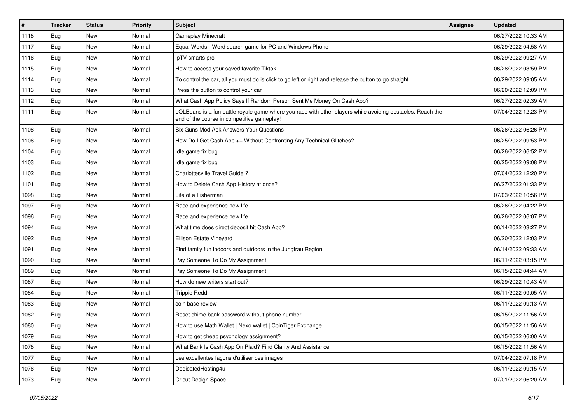| $\vert$ # | <b>Tracker</b> | <b>Status</b> | <b>Priority</b> | <b>Subject</b>                                                                                                                                           | Assignee | <b>Updated</b>      |
|-----------|----------------|---------------|-----------------|----------------------------------------------------------------------------------------------------------------------------------------------------------|----------|---------------------|
| 1118      | Bug            | New           | Normal          | <b>Gameplay Minecraft</b>                                                                                                                                |          | 06/27/2022 10:33 AM |
| 1117      | Bug            | New           | Normal          | Equal Words - Word search game for PC and Windows Phone                                                                                                  |          | 06/29/2022 04:58 AM |
| 1116      | Bug            | New           | Normal          | ipTV smarts pro                                                                                                                                          |          | 06/29/2022 09:27 AM |
| 1115      | Bug            | New           | Normal          | How to access your saved favorite Tiktok                                                                                                                 |          | 06/28/2022 03:59 PM |
| 1114      | Bug            | New           | Normal          | To control the car, all you must do is click to go left or right and release the button to go straight.                                                  |          | 06/29/2022 09:05 AM |
| 1113      | Bug            | New           | Normal          | Press the button to control your car                                                                                                                     |          | 06/20/2022 12:09 PM |
| 1112      | Bug            | New           | Normal          | What Cash App Policy Says If Random Person Sent Me Money On Cash App?                                                                                    |          | 06/27/2022 02:39 AM |
| 1111      | <b>Bug</b>     | New           | Normal          | LOLBeans is a fun battle royale game where you race with other players while avoiding obstacles. Reach the<br>end of the course in competitive gameplay! |          | 07/04/2022 12:23 PM |
| 1108      | Bug            | New           | Normal          | Six Guns Mod Apk Answers Your Questions                                                                                                                  |          | 06/26/2022 06:26 PM |
| 1106      | Bug            | New           | Normal          | How Do I Get Cash App ++ Without Confronting Any Technical Glitches?                                                                                     |          | 06/25/2022 09:53 PM |
| 1104      | Bug            | New           | Normal          | Idle game fix bug                                                                                                                                        |          | 06/26/2022 06:52 PM |
| 1103      | Bug            | New           | Normal          | Idle game fix bug                                                                                                                                        |          | 06/25/2022 09:08 PM |
| 1102      | Bug            | New           | Normal          | Charlottesville Travel Guide?                                                                                                                            |          | 07/04/2022 12:20 PM |
| 1101      | Bug            | New           | Normal          | How to Delete Cash App History at once?                                                                                                                  |          | 06/27/2022 01:33 PM |
| 1098      | Bug            | New           | Normal          | Life of a Fisherman                                                                                                                                      |          | 07/03/2022 10:56 PM |
| 1097      | Bug            | New           | Normal          | Race and experience new life.                                                                                                                            |          | 06/26/2022 04:22 PM |
| 1096      | Bug            | New           | Normal          | Race and experience new life.                                                                                                                            |          | 06/26/2022 06:07 PM |
| 1094      | Bug            | New           | Normal          | What time does direct deposit hit Cash App?                                                                                                              |          | 06/14/2022 03:27 PM |
| 1092      | Bug            | New           | Normal          | Ellison Estate Vineyard                                                                                                                                  |          | 06/20/2022 12:03 PM |
| 1091      | Bug            | New           | Normal          | Find family fun indoors and outdoors in the Jungfrau Region                                                                                              |          | 06/14/2022 09:33 AM |
| 1090      | Bug            | New           | Normal          | Pay Someone To Do My Assignment                                                                                                                          |          | 06/11/2022 03:15 PM |
| 1089      | Bug            | New           | Normal          | Pay Someone To Do My Assignment                                                                                                                          |          | 06/15/2022 04:44 AM |
| 1087      | <b>Bug</b>     | New           | Normal          | How do new writers start out?                                                                                                                            |          | 06/29/2022 10:43 AM |
| 1084      | Bug            | New           | Normal          | <b>Trippie Redd</b>                                                                                                                                      |          | 06/11/2022 09:05 AM |
| 1083      | Bug            | New           | Normal          | coin base review                                                                                                                                         |          | 06/11/2022 09:13 AM |
| 1082      | Bug            | New           | Normal          | Reset chime bank password without phone number                                                                                                           |          | 06/15/2022 11:56 AM |
| 1080      | Bug            | New           | Normal          | How to use Math Wallet   Nexo wallet   CoinTiger Exchange                                                                                                |          | 06/15/2022 11:56 AM |
| 1079      | <b>Bug</b>     | New           | Normal          | How to get cheap psychology assignment?                                                                                                                  |          | 06/15/2022 06:00 AM |
| 1078      | <b>Bug</b>     | New           | Normal          | What Bank Is Cash App On Plaid? Find Clarity And Assistance                                                                                              |          | 06/15/2022 11:56 AM |
| 1077      | Bug            | New           | Normal          | Les excellentes façons d'utiliser ces images                                                                                                             |          | 07/04/2022 07:18 PM |
| 1076      | <b>Bug</b>     | New           | Normal          | DedicatedHosting4u                                                                                                                                       |          | 06/11/2022 09:15 AM |
| 1073      | <b>Bug</b>     | New           | Normal          | Cricut Design Space                                                                                                                                      |          | 07/01/2022 06:20 AM |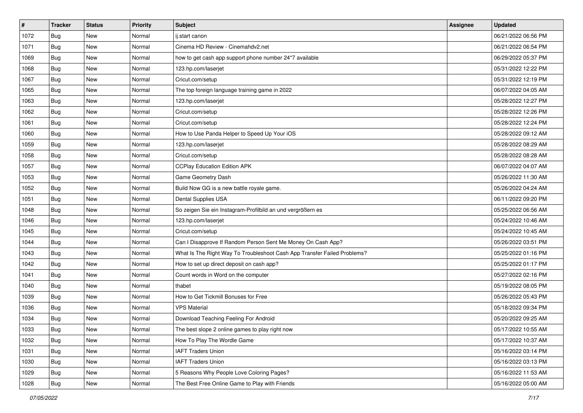| $\vert$ # | <b>Tracker</b> | <b>Status</b> | <b>Priority</b> | <b>Subject</b>                                                           | Assignee | <b>Updated</b>      |
|-----------|----------------|---------------|-----------------|--------------------------------------------------------------------------|----------|---------------------|
| 1072      | Bug            | New           | Normal          | ij.start canon                                                           |          | 06/21/2022 06:56 PM |
| 1071      | Bug            | New           | Normal          | Cinema HD Review - Cinemahdv2.net                                        |          | 06/21/2022 06:54 PM |
| 1069      | Bug            | New           | Normal          | how to get cash app support phone number 24*7 available                  |          | 06/29/2022 05:37 PM |
| 1068      | <b>Bug</b>     | New           | Normal          | 123.hp.com/laserjet                                                      |          | 05/31/2022 12:22 PM |
| 1067      | Bug            | New           | Normal          | Cricut.com/setup                                                         |          | 05/31/2022 12:19 PM |
| 1065      | Bug            | New           | Normal          | The top foreign language training game in 2022                           |          | 06/07/2022 04:05 AM |
| 1063      | Bug            | New           | Normal          | 123.hp.com/laserjet                                                      |          | 05/28/2022 12:27 PM |
| 1062      | <b>Bug</b>     | New           | Normal          | Cricut.com/setup                                                         |          | 05/28/2022 12:26 PM |
| 1061      | Bug            | New           | Normal          | Cricut.com/setup                                                         |          | 05/28/2022 12:24 PM |
| 1060      | Bug            | New           | Normal          | How to Use Panda Helper to Speed Up Your iOS                             |          | 05/28/2022 09:12 AM |
| 1059      | Bug            | New           | Normal          | 123.hp.com/laserjet                                                      |          | 05/28/2022 08:29 AM |
| 1058      | Bug            | New           | Normal          | Cricut.com/setup                                                         |          | 05/28/2022 08:28 AM |
| 1057      | Bug            | New           | Normal          | <b>CCPlay Education Edition APK</b>                                      |          | 06/07/2022 04:07 AM |
| 1053      | <b>Bug</b>     | New           | Normal          | Game Geometry Dash                                                       |          | 05/26/2022 11:30 AM |
| 1052      | Bug            | New           | Normal          | Build Now GG is a new battle royale game.                                |          | 05/26/2022 04:24 AM |
| 1051      | Bug            | New           | Normal          | Dental Supplies USA                                                      |          | 06/11/2022 09:20 PM |
| 1048      | <b>Bug</b>     | New           | Normal          | So zeigen Sie ein Instagram-Profilbild an und vergrößern es              |          | 05/25/2022 06:56 AM |
| 1046      | Bug            | New           | Normal          | 123.hp.com/laserjet                                                      |          | 05/24/2022 10:46 AM |
| 1045      | Bug            | New           | Normal          | Cricut.com/setup                                                         |          | 05/24/2022 10:45 AM |
| 1044      | Bug            | New           | Normal          | Can I Disapprove If Random Person Sent Me Money On Cash App?             |          | 05/26/2022 03:51 PM |
| 1043      | Bug            | New           | Normal          | What Is The Right Way To Troubleshoot Cash App Transfer Failed Problems? |          | 05/25/2022 01:16 PM |
| 1042      | Bug            | New           | Normal          | How to set up direct deposit on cash app?                                |          | 05/25/2022 01:17 PM |
| 1041      | Bug            | New           | Normal          | Count words in Word on the computer                                      |          | 05/27/2022 02:16 PM |
| 1040      | <b>Bug</b>     | New           | Normal          | thabet                                                                   |          | 05/19/2022 08:05 PM |
| 1039      | Bug            | New           | Normal          | How to Get Tickmill Bonuses for Free                                     |          | 05/26/2022 05:43 PM |
| 1036      | Bug            | New           | Normal          | <b>VPS Material</b>                                                      |          | 05/18/2022 09:34 PM |
| 1034      | <b>Bug</b>     | New           | Normal          | Download Teaching Feeling For Android                                    |          | 05/20/2022 09:25 AM |
| 1033      | <b>Bug</b>     | New           | Normal          | The best slope 2 online games to play right now                          |          | 05/17/2022 10:55 AM |
| 1032      | <b>Bug</b>     | New           | Normal          | How To Play The Wordle Game                                              |          | 05/17/2022 10:37 AM |
| 1031      | <b>Bug</b>     | New           | Normal          | <b>IAFT Traders Union</b>                                                |          | 05/16/2022 03:14 PM |
| 1030      | Bug            | New           | Normal          | <b>IAFT Traders Union</b>                                                |          | 05/16/2022 03:13 PM |
| 1029      | <b>Bug</b>     | New           | Normal          | 5 Reasons Why People Love Coloring Pages?                                |          | 05/16/2022 11:53 AM |
| 1028      | <b>Bug</b>     | New           | Normal          | The Best Free Online Game to Play with Friends                           |          | 05/16/2022 05:00 AM |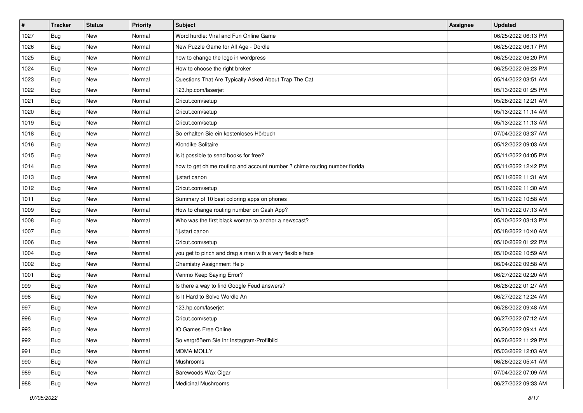| $\sharp$ | <b>Tracker</b> | <b>Status</b> | <b>Priority</b> | <b>Subject</b>                                                             | Assignee | <b>Updated</b>      |
|----------|----------------|---------------|-----------------|----------------------------------------------------------------------------|----------|---------------------|
| 1027     | Bug            | New           | Normal          | Word hurdle: Viral and Fun Online Game                                     |          | 06/25/2022 06:13 PM |
| 1026     | Bug            | <b>New</b>    | Normal          | New Puzzle Game for All Age - Dordle                                       |          | 06/25/2022 06:17 PM |
| 1025     | Bug            | New           | Normal          | how to change the logo in wordpress                                        |          | 06/25/2022 06:20 PM |
| 1024     | Bug            | New           | Normal          | How to choose the right broker                                             |          | 06/25/2022 06:23 PM |
| 1023     | Bug            | New           | Normal          | Questions That Are Typically Asked About Trap The Cat                      |          | 05/14/2022 03:51 AM |
| 1022     | Bug            | New           | Normal          | 123.hp.com/laserjet                                                        |          | 05/13/2022 01:25 PM |
| 1021     | Bug            | New           | Normal          | Cricut.com/setup                                                           |          | 05/26/2022 12:21 AM |
| 1020     | <b>Bug</b>     | New           | Normal          | Cricut.com/setup                                                           |          | 05/13/2022 11:14 AM |
| 1019     | Bug            | New           | Normal          | Cricut.com/setup                                                           |          | 05/13/2022 11:13 AM |
| 1018     | Bug            | New           | Normal          | So erhalten Sie ein kostenloses Hörbuch                                    |          | 07/04/2022 03:37 AM |
| 1016     | <b>Bug</b>     | New           | Normal          | Klondike Solitaire                                                         |          | 05/12/2022 09:03 AM |
| 1015     | Bug            | New           | Normal          | Is it possible to send books for free?                                     |          | 05/11/2022 04:05 PM |
| 1014     | Bug            | New           | Normal          | how to get chime routing and account number ? chime routing number florida |          | 05/11/2022 12:42 PM |
| 1013     | <b>Bug</b>     | New           | Normal          | ij.start canon                                                             |          | 05/11/2022 11:31 AM |
| 1012     | Bug            | New           | Normal          | Cricut.com/setup                                                           |          | 05/11/2022 11:30 AM |
| 1011     | Bug            | New           | Normal          | Summary of 10 best coloring apps on phones                                 |          | 05/11/2022 10:58 AM |
| 1009     | Bug            | New           | Normal          | How to change routing number on Cash App?                                  |          | 05/11/2022 07:13 AM |
| 1008     | Bug            | New           | Normal          | Who was the first black woman to anchor a newscast?                        |          | 05/10/2022 03:13 PM |
| 1007     | Bug            | New           | Normal          | "ij.start canon                                                            |          | 05/18/2022 10:40 AM |
| 1006     | <b>Bug</b>     | <b>New</b>    | Normal          | Cricut.com/setup                                                           |          | 05/10/2022 01:22 PM |
| 1004     | Bug            | New           | Normal          | you get to pinch and drag a man with a very flexible face                  |          | 05/10/2022 10:59 AM |
| 1002     | Bug            | New           | Normal          | Chemistry Assignment Help                                                  |          | 06/04/2022 09:58 AM |
| 1001     | Bug            | New           | Normal          | Venmo Keep Saying Error?                                                   |          | 06/27/2022 02:20 AM |
| 999      | <b>Bug</b>     | New           | Normal          | Is there a way to find Google Feud answers?                                |          | 06/28/2022 01:27 AM |
| 998      | Bug            | New           | Normal          | Is It Hard to Solve Wordle An                                              |          | 06/27/2022 12:24 AM |
| 997      | Bug            | New           | Normal          | 123.hp.com/laserjet                                                        |          | 06/28/2022 09:48 AM |
| 996      | Bug            | New           | Normal          | Cricut.com/setup                                                           |          | 06/27/2022 07:12 AM |
| 993      | i Bug          | New           | Normal          | IO Games Free Online                                                       |          | 06/26/2022 09:41 AM |
| 992      | Bug            | New           | Normal          | So vergrößern Sie Ihr Instagram-Profilbild                                 |          | 06/26/2022 11:29 PM |
| 991      | Bug            | New           | Normal          | <b>MDMA MOLLY</b>                                                          |          | 05/03/2022 12:03 AM |
| 990      | <b>Bug</b>     | New           | Normal          | Mushrooms                                                                  |          | 06/26/2022 05:41 AM |
| 989      | Bug            | New           | Normal          | Barewoods Wax Cigar                                                        |          | 07/04/2022 07:09 AM |
| 988      | <b>Bug</b>     | New           | Normal          | <b>Medicinal Mushrooms</b>                                                 |          | 06/27/2022 09:33 AM |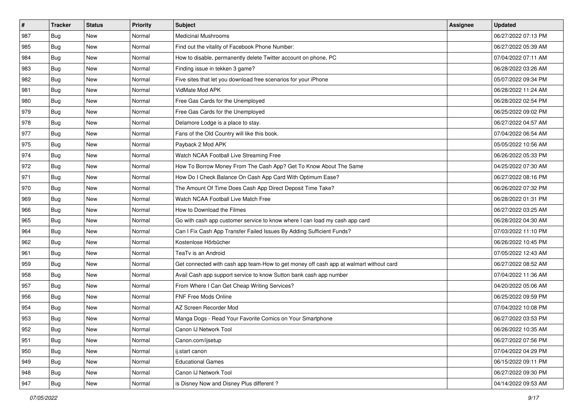| $\sharp$ | <b>Tracker</b> | <b>Status</b> | Priority | Subject                                                                                | <b>Assignee</b> | <b>Updated</b>      |
|----------|----------------|---------------|----------|----------------------------------------------------------------------------------------|-----------------|---------------------|
| 987      | Bug            | New           | Normal   | <b>Medicinal Mushrooms</b>                                                             |                 | 06/27/2022 07:13 PM |
| 985      | Bug            | <b>New</b>    | Normal   | Find out the vitality of Facebook Phone Number:                                        |                 | 06/27/2022 05:39 AM |
| 984      | Bug            | New           | Normal   | How to disable, permanently delete Twitter account on phone, PC                        |                 | 07/04/2022 07:11 AM |
| 983      | Bug            | <b>New</b>    | Normal   | Finding issue in tekken 3 game?                                                        |                 | 06/28/2022 03:26 AM |
| 982      | Bug            | New           | Normal   | Five sites that let you download free scenarios for your iPhone                        |                 | 05/07/2022 09:34 PM |
| 981      | Bug            | New           | Normal   | VidMate Mod APK                                                                        |                 | 06/28/2022 11:24 AM |
| 980      | Bug            | New           | Normal   | Free Gas Cards for the Unemployed                                                      |                 | 06/28/2022 02:54 PM |
| 979      | Bug            | New           | Normal   | Free Gas Cards for the Unemployed                                                      |                 | 06/25/2022 09:02 PM |
| 978      | Bug            | New           | Normal   | Delamore Lodge is a place to stay.                                                     |                 | 06/27/2022 04:57 AM |
| 977      | Bug            | New           | Normal   | Fans of the Old Country will like this book.                                           |                 | 07/04/2022 06:54 AM |
| 975      | <b>Bug</b>     | New           | Normal   | Payback 2 Mod APK                                                                      |                 | 05/05/2022 10:56 AM |
| 974      | Bug            | New           | Normal   | Watch NCAA Football Live Streaming Free                                                |                 | 06/26/2022 05:33 PM |
| 972      | Bug            | <b>New</b>    | Normal   | How To Borrow Money From The Cash App? Get To Know About The Same                      |                 | 04/25/2022 07:30 AM |
| 971      | Bug            | New           | Normal   | How Do I Check Balance On Cash App Card With Optimum Ease?                             |                 | 06/27/2022 08:16 PM |
| 970      | <b>Bug</b>     | New           | Normal   | The Amount Of Time Does Cash App Direct Deposit Time Take?                             |                 | 06/26/2022 07:32 PM |
| 969      | Bug            | New           | Normal   | Watch NCAA Football Live Match Free                                                    |                 | 06/28/2022 01:31 PM |
| 966      | Bug            | New           | Normal   | How to Download the Filmes                                                             |                 | 06/27/2022 03:25 AM |
| 965      | Bug            | New           | Normal   | Go with cash app customer service to know where I can load my cash app card            |                 | 06/28/2022 04:30 AM |
| 964      | Bug            | New           | Normal   | Can I Fix Cash App Transfer Failed Issues By Adding Sufficient Funds?                  |                 | 07/03/2022 11:10 PM |
| 962      | Bug            | New           | Normal   | Kostenlose Hörbücher                                                                   |                 | 06/26/2022 10:45 PM |
| 961      | Bug            | New           | Normal   | TeaTv is an Android                                                                    |                 | 07/05/2022 12:43 AM |
| 959      | Bug            | New           | Normal   | Get connected with cash app team-How to get money off cash app at walmart without card |                 | 06/27/2022 08:52 AM |
| 958      | <b>Bug</b>     | New           | Normal   | Avail Cash app support service to know Sutton bank cash app number                     |                 | 07/04/2022 11:36 AM |
| 957      | <b>Bug</b>     | New           | Normal   | From Where I Can Get Cheap Writing Services?                                           |                 | 04/20/2022 05:06 AM |
| 956      | Bug            | New           | Normal   | FNF Free Mods Online                                                                   |                 | 06/25/2022 09:59 PM |
| 954      | Bug            | <b>New</b>    | Normal   | AZ Screen Recorder Mod                                                                 |                 | 07/04/2022 10:08 PM |
| 953      | Bug            | New           | Normal   | Manga Dogs - Read Your Favorite Comics on Your Smartphone                              |                 | 06/27/2022 03:53 PM |
| 952      | <b>Bug</b>     | New           | Normal   | Canon IJ Network Tool                                                                  |                 | 06/26/2022 10:35 AM |
| 951      | Bug            | New           | Normal   | Canon.com/ijsetup                                                                      |                 | 06/27/2022 07:56 PM |
| 950      | Bug            | New           | Normal   | ij.start canon                                                                         |                 | 07/04/2022 04:29 PM |
| 949      | Bug            | New           | Normal   | <b>Educational Games</b>                                                               |                 | 06/15/2022 09:11 PM |
| 948      | <b>Bug</b>     | New           | Normal   | Canon IJ Network Tool                                                                  |                 | 06/27/2022 09:30 PM |
| 947      | <b>Bug</b>     | New           | Normal   | is Disney Now and Disney Plus different?                                               |                 | 04/14/2022 09:53 AM |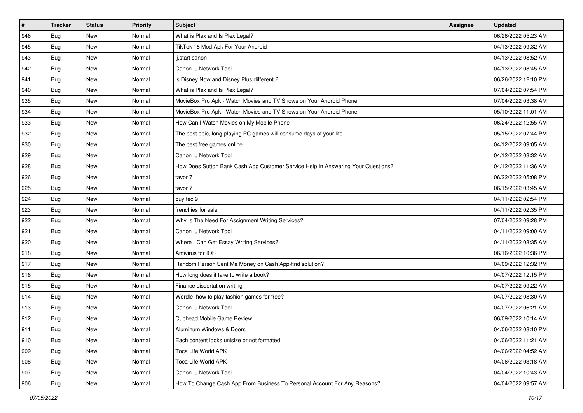| #   | <b>Tracker</b> | <b>Status</b> | <b>Priority</b> | <b>Subject</b>                                                                   | Assignee | <b>Updated</b>      |
|-----|----------------|---------------|-----------------|----------------------------------------------------------------------------------|----------|---------------------|
| 946 | <b>Bug</b>     | New           | Normal          | What is Plex and Is Plex Legal?                                                  |          | 06/26/2022 05:23 AM |
| 945 | <b>Bug</b>     | New           | Normal          | TikTok 18 Mod Apk For Your Android                                               |          | 04/13/2022 09:32 AM |
| 943 | <b>Bug</b>     | New           | Normal          | ij.start canon                                                                   |          | 04/13/2022 08:52 AM |
| 942 | <b>Bug</b>     | New           | Normal          | Canon IJ Network Tool                                                            |          | 04/13/2022 08:45 AM |
| 941 | Bug            | New           | Normal          | is Disney Now and Disney Plus different?                                         |          | 06/26/2022 12:10 PM |
| 940 | Bug            | New           | Normal          | What is Plex and Is Plex Legal?                                                  |          | 07/04/2022 07:54 PM |
| 935 | Bug            | New           | Normal          | MovieBox Pro Apk - Watch Movies and TV Shows on Your Android Phone               |          | 07/04/2022 03:38 AM |
| 934 | Bug            | New           | Normal          | MovieBox Pro Apk - Watch Movies and TV Shows on Your Android Phone               |          | 05/10/2022 11:01 AM |
| 933 | Bug            | New           | Normal          | How Can I Watch Movies on My Mobile Phone                                        |          | 06/24/2022 12:55 AM |
| 932 | <b>Bug</b>     | New           | Normal          | The best epic, long-playing PC games will consume days of your life.             |          | 05/15/2022 07:44 PM |
| 930 | Bug            | New           | Normal          | The best free games online                                                       |          | 04/12/2022 09:05 AM |
| 929 | <b>Bug</b>     | New           | Normal          | Canon IJ Network Tool                                                            |          | 04/12/2022 08:32 AM |
| 928 | Bug            | New           | Normal          | How Does Sutton Bank Cash App Customer Service Help In Answering Your Questions? |          | 04/12/2022 11:36 AM |
| 926 | Bug            | New           | Normal          | tavor 7                                                                          |          | 06/22/2022 05:08 PM |
| 925 | Bug            | New           | Normal          | tavor 7                                                                          |          | 06/15/2022 03:45 AM |
| 924 | Bug            | New           | Normal          | buy tec 9                                                                        |          | 04/11/2022 02:54 PM |
| 923 | Bug            | New           | Normal          | frenchies for sale                                                               |          | 04/11/2022 02:35 PM |
| 922 | Bug            | New           | Normal          | Why Is The Need For Assignment Writing Services?                                 |          | 07/04/2022 09:28 PM |
| 921 | Bug            | New           | Normal          | Canon IJ Network Tool                                                            |          | 04/11/2022 09:00 AM |
| 920 | Bug            | New           | Normal          | Where I Can Get Essay Writing Services?                                          |          | 04/11/2022 08:35 AM |
| 918 | Bug            | New           | Normal          | Antivirus for IOS                                                                |          | 06/16/2022 10:36 PM |
| 917 | Bug            | New           | Normal          | Random Person Sent Me Money on Cash App-find solution?                           |          | 04/09/2022 12:32 PM |
| 916 | Bug            | New           | Normal          | How long does it take to write a book?                                           |          | 04/07/2022 12:15 PM |
| 915 | Bug            | New           | Normal          | Finance dissertation writing                                                     |          | 04/07/2022 09:22 AM |
| 914 | Bug            | New           | Normal          | Wordle: how to play fashion games for free?                                      |          | 04/07/2022 08:30 AM |
| 913 | Bug            | New           | Normal          | Canon IJ Network Tool                                                            |          | 04/07/2022 06:21 AM |
| 912 | Bug            | New           | Normal          | Cuphead Mobile Game Review                                                       |          | 06/09/2022 10:14 AM |
| 911 | <b>Bug</b>     | New           | Normal          | Aluminum Windows & Doors                                                         |          | 04/06/2022 08:10 PM |
| 910 | Bug            | New           | Normal          | Each content looks unisize or not formated                                       |          | 04/06/2022 11:21 AM |
| 909 | Bug            | New           | Normal          | Toca Life World APK                                                              |          | 04/06/2022 04:52 AM |
| 908 | Bug            | New           | Normal          | Toca Life World APK                                                              |          | 04/06/2022 03:18 AM |
| 907 | Bug            | New           | Normal          | Canon IJ Network Tool                                                            |          | 04/04/2022 10:43 AM |
| 906 | <b>Bug</b>     | New           | Normal          | How To Change Cash App From Business To Personal Account For Any Reasons?        |          | 04/04/2022 09:57 AM |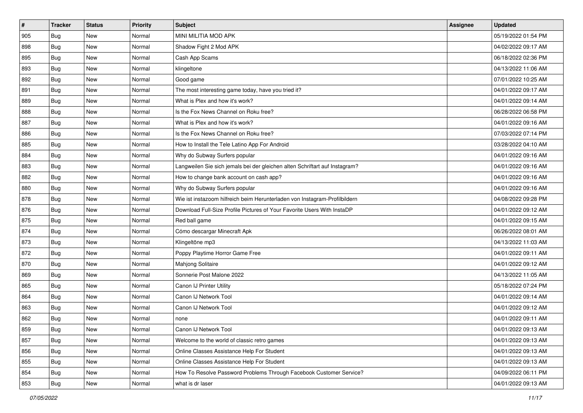| #   | <b>Tracker</b> | <b>Status</b> | <b>Priority</b> | <b>Subject</b>                                                              | Assignee | <b>Updated</b>      |
|-----|----------------|---------------|-----------------|-----------------------------------------------------------------------------|----------|---------------------|
| 905 | Bug            | New           | Normal          | MINI MILITIA MOD APK                                                        |          | 05/19/2022 01:54 PM |
| 898 | Bug            | New           | Normal          | Shadow Fight 2 Mod APK                                                      |          | 04/02/2022 09:17 AM |
| 895 | Bug            | <b>New</b>    | Normal          | Cash App Scams                                                              |          | 06/18/2022 02:36 PM |
| 893 | Bug            | New           | Normal          | klingeltone                                                                 |          | 04/13/2022 11:06 AM |
| 892 | Bug            | <b>New</b>    | Normal          | Good game                                                                   |          | 07/01/2022 10:25 AM |
| 891 | Bug            | New           | Normal          | The most interesting game today, have you tried it?                         |          | 04/01/2022 09:17 AM |
| 889 | Bug            | <b>New</b>    | Normal          | What is Plex and how it's work?                                             |          | 04/01/2022 09:14 AM |
| 888 | <b>Bug</b>     | New           | Normal          | Is the Fox News Channel on Roku free?                                       |          | 06/28/2022 06:58 PM |
| 887 | Bug            | New           | Normal          | What is Plex and how it's work?                                             |          | 04/01/2022 09:16 AM |
| 886 | Bug            | New           | Normal          | Is the Fox News Channel on Roku free?                                       |          | 07/03/2022 07:14 PM |
| 885 | Bug            | New           | Normal          | How to Install the Tele Latino App For Android                              |          | 03/28/2022 04:10 AM |
| 884 | Bug            | New           | Normal          | Why do Subway Surfers popular                                               |          | 04/01/2022 09:16 AM |
| 883 | Bug            | New           | Normal          | Langweilen Sie sich jemals bei der gleichen alten Schriftart auf Instagram? |          | 04/01/2022 09:16 AM |
| 882 | Bug            | New           | Normal          | How to change bank account on cash app?                                     |          | 04/01/2022 09:16 AM |
| 880 | Bug            | New           | Normal          | Why do Subway Surfers popular                                               |          | 04/01/2022 09:16 AM |
| 878 | Bug            | New           | Normal          | Wie ist instazoom hilfreich beim Herunterladen von Instagram-Profilbildern  |          | 04/08/2022 09:28 PM |
| 876 | Bug            | New           | Normal          | Download Full-Size Profile Pictures of Your Favorite Users With InstaDP     |          | 04/01/2022 09:12 AM |
| 875 | Bug            | New           | Normal          | Red ball game                                                               |          | 04/01/2022 09:15 AM |
| 874 | Bug            | New           | Normal          | Cómo descargar Minecraft Apk                                                |          | 06/26/2022 08:01 AM |
| 873 | Bug            | New           | Normal          | Klingeltöne mp3                                                             |          | 04/13/2022 11:03 AM |
| 872 | <b>Bug</b>     | New           | Normal          | Poppy Playtime Horror Game Free                                             |          | 04/01/2022 09:11 AM |
| 870 | Bug            | New           | Normal          | Mahjong Solitaire                                                           |          | 04/01/2022 09:12 AM |
| 869 | Bug            | <b>New</b>    | Normal          | Sonnerie Post Malone 2022                                                   |          | 04/13/2022 11:05 AM |
| 865 | Bug            | New           | Normal          | Canon IJ Printer Utility                                                    |          | 05/18/2022 07:24 PM |
| 864 | Bug            | <b>New</b>    | Normal          | Canon IJ Network Tool                                                       |          | 04/01/2022 09:14 AM |
| 863 | Bug            | New           | Normal          | Canon IJ Network Tool                                                       |          | 04/01/2022 09:12 AM |
| 862 | Bug            | <b>New</b>    | Normal          | none                                                                        |          | 04/01/2022 09:11 AM |
| 859 | I Bug          | New           | Normal          | Canon IJ Network Tool                                                       |          | 04/01/2022 09:13 AM |
| 857 | <b>Bug</b>     | New           | Normal          | Welcome to the world of classic retro games                                 |          | 04/01/2022 09:13 AM |
| 856 | Bug            | New           | Normal          | Online Classes Assistance Help For Student                                  |          | 04/01/2022 09:13 AM |
| 855 | <b>Bug</b>     | New           | Normal          | Online Classes Assistance Help For Student                                  |          | 04/01/2022 09:13 AM |
| 854 | <b>Bug</b>     | New           | Normal          | How To Resolve Password Problems Through Facebook Customer Service?         |          | 04/09/2022 06:11 PM |
| 853 | <b>Bug</b>     | New           | Normal          | what is dr laser                                                            |          | 04/01/2022 09:13 AM |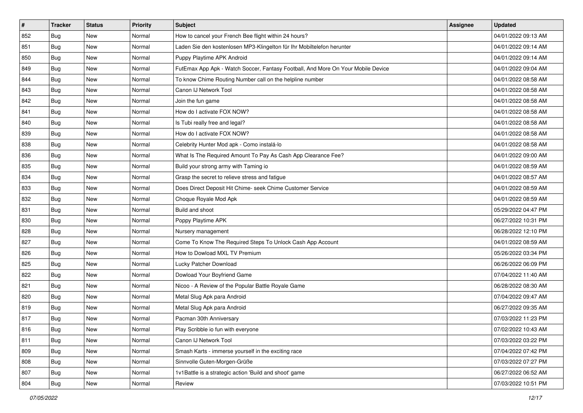| $\sharp$ | <b>Tracker</b> | <b>Status</b> | <b>Priority</b> | <b>Subject</b>                                                                   | Assignee | <b>Updated</b>      |
|----------|----------------|---------------|-----------------|----------------------------------------------------------------------------------|----------|---------------------|
| 852      | Bug            | New           | Normal          | How to cancel your French Bee flight within 24 hours?                            |          | 04/01/2022 09:13 AM |
| 851      | Bug            | <b>New</b>    | Normal          | Laden Sie den kostenlosen MP3-Klingelton für Ihr Mobiltelefon herunter           |          | 04/01/2022 09:14 AM |
| 850      | Bug            | New           | Normal          | Puppy Playtime APK Android                                                       |          | 04/01/2022 09:14 AM |
| 849      | Bug            | New           | Normal          | FutEmax App Apk - Watch Soccer, Fantasy Football, And More On Your Mobile Device |          | 04/01/2022 09:04 AM |
| 844      | Bug            | New           | Normal          | To know Chime Routing Number call on the helpline number                         |          | 04/01/2022 08:58 AM |
| 843      | Bug            | New           | Normal          | Canon IJ Network Tool                                                            |          | 04/01/2022 08:58 AM |
| 842      | Bug            | <b>New</b>    | Normal          | Join the fun game                                                                |          | 04/01/2022 08:58 AM |
| 841      | Bug            | New           | Normal          | How do I activate FOX NOW?                                                       |          | 04/01/2022 08:58 AM |
| 840      | Bug            | New           | Normal          | Is Tubi really free and legal?                                                   |          | 04/01/2022 08:58 AM |
| 839      | Bug            | New           | Normal          | How do I activate FOX NOW?                                                       |          | 04/01/2022 08:58 AM |
| 838      | <b>Bug</b>     | New           | Normal          | Celebrity Hunter Mod apk - Como instalá-lo                                       |          | 04/01/2022 08:58 AM |
| 836      | Bug            | New           | Normal          | What Is The Required Amount To Pay As Cash App Clearance Fee?                    |          | 04/01/2022 09:00 AM |
| 835      | Bug            | New           | Normal          | Build your strong army with Taming io                                            |          | 04/01/2022 08:59 AM |
| 834      | Bug            | New           | Normal          | Grasp the secret to relieve stress and fatigue                                   |          | 04/01/2022 08:57 AM |
| 833      | Bug            | New           | Normal          | Does Direct Deposit Hit Chime- seek Chime Customer Service                       |          | 04/01/2022 08:59 AM |
| 832      | Bug            | New           | Normal          | Choque Royale Mod Apk                                                            |          | 04/01/2022 08:59 AM |
| 831      | Bug            | New           | Normal          | Build and shoot                                                                  |          | 05/29/2022 04:47 PM |
| 830      | Bug            | New           | Normal          | Poppy Playtime APK                                                               |          | 06/27/2022 10:31 PM |
| 828      | Bug            | New           | Normal          | Nursery management                                                               |          | 06/28/2022 12:10 PM |
| 827      | Bug            | <b>New</b>    | Normal          | Come To Know The Required Steps To Unlock Cash App Account                       |          | 04/01/2022 08:59 AM |
| 826      | Bug            | New           | Normal          | How to Dowload MXL TV Premium                                                    |          | 05/26/2022 03:34 PM |
| 825      | Bug            | <b>New</b>    | Normal          | Lucky Patcher Download                                                           |          | 06/26/2022 06:09 PM |
| 822      | Bug            | New           | Normal          | Dowload Your Boyfriend Game                                                      |          | 07/04/2022 11:40 AM |
| 821      | <b>Bug</b>     | New           | Normal          | Nicoo - A Review of the Popular Battle Royale Game                               |          | 06/28/2022 08:30 AM |
| 820      | Bug            | New           | Normal          | Metal Slug Apk para Android                                                      |          | 07/04/2022 09:47 AM |
| 819      | Bug            | New           | Normal          | Metal Slug Apk para Android                                                      |          | 06/27/2022 09:35 AM |
| 817      | Bug            | <b>New</b>    | Normal          | Pacman 30th Anniversary                                                          |          | 07/03/2022 11:23 PM |
| 816      | <b>Bug</b>     | New           | Normal          | Play Scribble io fun with everyone                                               |          | 07/02/2022 10:43 AM |
| 811      | <b>Bug</b>     | New           | Normal          | Canon IJ Network Tool                                                            |          | 07/03/2022 03:22 PM |
| 809      | Bug            | New           | Normal          | Smash Karts - immerse yourself in the exciting race                              |          | 07/04/2022 07:42 PM |
| 808      | <b>Bug</b>     | New           | Normal          | Sinnvolle Guten-Morgen-Grüße                                                     |          | 07/03/2022 07:27 PM |
| 807      | <b>Bug</b>     | New           | Normal          | 1v1Battle is a strategic action 'Build and shoot' game                           |          | 06/27/2022 06:52 AM |
| 804      | <b>Bug</b>     | New           | Normal          | Review                                                                           |          | 07/03/2022 10:51 PM |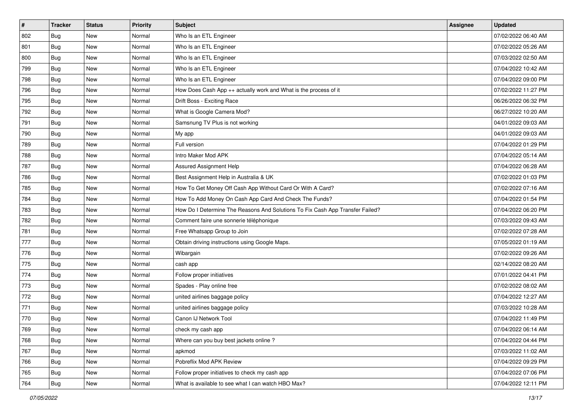| $\vert$ # | <b>Tracker</b> | <b>Status</b> | <b>Priority</b> | <b>Subject</b>                                                                | Assignee | <b>Updated</b>      |
|-----------|----------------|---------------|-----------------|-------------------------------------------------------------------------------|----------|---------------------|
| 802       | Bug            | New           | Normal          | Who Is an ETL Engineer                                                        |          | 07/02/2022 06:40 AM |
| 801       | Bug            | New           | Normal          | Who Is an ETL Engineer                                                        |          | 07/02/2022 05:26 AM |
| 800       | Bug            | New           | Normal          | Who Is an ETL Engineer                                                        |          | 07/03/2022 02:50 AM |
| 799       | Bug            | New           | Normal          | Who Is an ETL Engineer                                                        |          | 07/04/2022 10:42 AM |
| 798       | Bug            | New           | Normal          | Who Is an ETL Engineer                                                        |          | 07/04/2022 09:00 PM |
| 796       | <b>Bug</b>     | New           | Normal          | How Does Cash App ++ actually work and What is the process of it              |          | 07/02/2022 11:27 PM |
| 795       | Bug            | New           | Normal          | Drift Boss - Exciting Race                                                    |          | 06/26/2022 06:32 PM |
| 792       | Bug            | New           | Normal          | What is Google Camera Mod?                                                    |          | 06/27/2022 10:20 AM |
| 791       | Bug            | New           | Normal          | Samsnung TV Plus is not working                                               |          | 04/01/2022 09:03 AM |
| 790       | Bug            | New           | Normal          | My app                                                                        |          | 04/01/2022 09:03 AM |
| 789       | <b>Bug</b>     | New           | Normal          | Full version                                                                  |          | 07/04/2022 01:29 PM |
| 788       | Bug            | New           | Normal          | Intro Maker Mod APK                                                           |          | 07/04/2022 05:14 AM |
| 787       | Bug            | New           | Normal          | Assured Assignment Help                                                       |          | 07/04/2022 06:28 AM |
| 786       | Bug            | New           | Normal          | Best Assignment Help in Australia & UK                                        |          | 07/02/2022 01:03 PM |
| 785       | Bug            | New           | Normal          | How To Get Money Off Cash App Without Card Or With A Card?                    |          | 07/02/2022 07:16 AM |
| 784       | Bug            | New           | Normal          | How To Add Money On Cash App Card And Check The Funds?                        |          | 07/04/2022 01:54 PM |
| 783       | Bug            | New           | Normal          | How Do I Determine The Reasons And Solutions To Fix Cash App Transfer Failed? |          | 07/04/2022 06:20 PM |
| 782       | Bug            | New           | Normal          | Comment faire une sonnerie téléphonique                                       |          | 07/03/2022 09:43 AM |
| 781       | Bug            | New           | Normal          | Free Whatsapp Group to Join                                                   |          | 07/02/2022 07:28 AM |
| 777       | Bug            | New           | Normal          | Obtain driving instructions using Google Maps.                                |          | 07/05/2022 01:19 AM |
| 776       | Bug            | New           | Normal          | Wibargain                                                                     |          | 07/02/2022 09:26 AM |
| 775       | <b>Bug</b>     | New           | Normal          | cash app                                                                      |          | 02/14/2022 08:20 AM |
| 774       | Bug            | New           | Normal          | Follow proper initiatives                                                     |          | 07/01/2022 04:41 PM |
| 773       | <b>Bug</b>     | New           | Normal          | Spades - Play online free                                                     |          | 07/02/2022 08:02 AM |
| 772       | Bug            | New           | Normal          | united airlines baggage policy                                                |          | 07/04/2022 12:27 AM |
| 771       | Bug            | New           | Normal          | united airlines baggage policy                                                |          | 07/03/2022 10:28 AM |
| 770       | Bug            | New           | Normal          | Canon IJ Network Tool                                                         |          | 07/04/2022 11:49 PM |
| 769       | <b>Bug</b>     | New           | Normal          | check my cash app                                                             |          | 07/04/2022 06:14 AM |
| 768       | Bug            | New           | Normal          | Where can you buy best jackets online?                                        |          | 07/04/2022 04:44 PM |
| 767       | Bug            | New           | Normal          | apkmod                                                                        |          | 07/03/2022 11:02 AM |
| 766       | Bug            | New           | Normal          | Pobreflix Mod APK Review                                                      |          | 07/04/2022 09:29 PM |
| 765       | Bug            | New           | Normal          | Follow proper initiatives to check my cash app                                |          | 07/04/2022 07:06 PM |
| 764       | <b>Bug</b>     | New           | Normal          | What is available to see what I can watch HBO Max?                            |          | 07/04/2022 12:11 PM |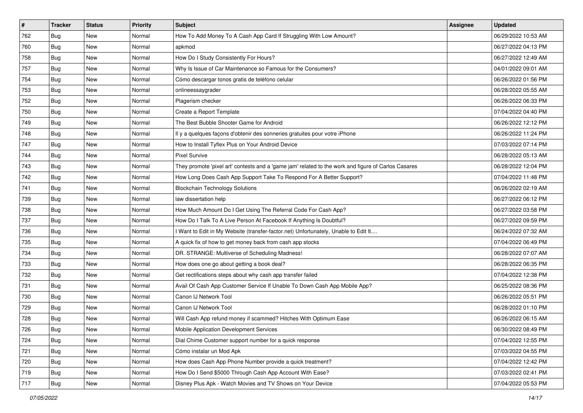| $\vert$ # | <b>Tracker</b> | <b>Status</b> | <b>Priority</b> | Subject                                                                                             | <b>Assignee</b> | <b>Updated</b>      |
|-----------|----------------|---------------|-----------------|-----------------------------------------------------------------------------------------------------|-----------------|---------------------|
| 762       | Bug            | New           | Normal          | How To Add Money To A Cash App Card If Struggling With Low Amount?                                  |                 | 06/29/2022 10:53 AM |
| 760       | Bug            | New           | Normal          | apkmod                                                                                              |                 | 06/27/2022 04:13 PM |
| 758       | Bug            | New           | Normal          | How Do I Study Consistently For Hours?                                                              |                 | 06/27/2022 12:49 AM |
| 757       | Bug            | New           | Normal          | Why Is Issue of Car Maintenance so Famous for the Consumers?                                        |                 | 04/01/2022 09:01 AM |
| 754       | Bug            | New           | Normal          | Cómo descargar tonos gratis de teléfono celular                                                     |                 | 06/26/2022 01:56 PM |
| 753       | Bug            | New           | Normal          | onlineessaygrader                                                                                   |                 | 06/28/2022 05:55 AM |
| 752       | Bug            | New           | Normal          | Plagerism checker                                                                                   |                 | 06/26/2022 06:33 PM |
| 750       | Bug            | New           | Normal          | Create a Report Template                                                                            |                 | 07/04/2022 04:40 PM |
| 749       | Bug            | New           | Normal          | The Best Bubble Shooter Game for Android                                                            |                 | 06/26/2022 12:12 PM |
| 748       | Bug            | New           | Normal          | Il y a quelques façons d'obtenir des sonneries gratuites pour votre iPhone                          |                 | 06/26/2022 11:24 PM |
| 747       | <b>Bug</b>     | New           | Normal          | How to Install Tyflex Plus on Your Android Device                                                   |                 | 07/03/2022 07:14 PM |
| 744       | Bug            | New           | Normal          | <b>Pixel Survive</b>                                                                                |                 | 06/28/2022 05:13 AM |
| 743       | Bug            | New           | Normal          | They promote 'pixel art' contests and a 'game jam' related to the work and figure of Carlos Casares |                 | 06/28/2022 12:04 PM |
| 742       | Bug            | New           | Normal          | How Long Does Cash App Support Take To Respond For A Better Support?                                |                 | 07/04/2022 11:48 PM |
| 741       | Bug            | New           | Normal          | <b>Blockchain Technology Solutions</b>                                                              |                 | 06/26/2022 02:19 AM |
| 739       | Bug            | New           | Normal          | law dissertation help                                                                               |                 | 06/27/2022 06:12 PM |
| 738       | Bug            | New           | Normal          | How Much Amount Do I Get Using The Referral Code For Cash App?                                      |                 | 06/27/2022 03:58 PM |
| 737       | Bug            | New           | Normal          | How Do I Talk To A Live Person At Facebook If Anything Is Doubtful?                                 |                 | 06/27/2022 09:59 PM |
| 736       | Bug            | New           | Normal          | I Want to Edit in My Website (transfer-factor.net) Unfortunately, Unable to Edit It                 |                 | 06/24/2022 07:32 AM |
| 735       | Bug            | New           | Normal          | A quick fix of how to get money back from cash app stocks                                           |                 | 07/04/2022 06:49 PM |
| 734       | Bug            | New           | Normal          | DR. STRANGE: Multiverse of Scheduling Madness!                                                      |                 | 06/28/2022 07:07 AM |
| 733       | Bug            | New           | Normal          | How does one go about getting a book deal?                                                          |                 | 06/28/2022 06:35 PM |
| 732       | Bug            | New           | Normal          | Get rectifications steps about why cash app transfer failed                                         |                 | 07/04/2022 12:38 PM |
| 731       | <b>Bug</b>     | New           | Normal          | Avail Of Cash App Customer Service If Unable To Down Cash App Mobile App?                           |                 | 06/25/2022 08:36 PM |
| 730       | Bug            | New           | Normal          | Canon IJ Network Tool                                                                               |                 | 06/26/2022 05:51 PM |
| 729       | Bug            | New           | Normal          | Canon IJ Network Tool                                                                               |                 | 06/28/2022 01:10 PM |
| 728       | Bug            | New           | Normal          | Will Cash App refund money if scammed? Hitches With Optimum Ease                                    |                 | 06/26/2022 06:15 AM |
| 726       | <b>Bug</b>     | New           | Normal          | Mobile Application Development Services                                                             |                 | 06/30/2022 08:49 PM |
| 724       | <b>Bug</b>     | New           | Normal          | Dial Chime Customer support number for a quick response                                             |                 | 07/04/2022 12:55 PM |
| 721       | <b>Bug</b>     | New           | Normal          | Cómo instalar un Mod Apk                                                                            |                 | 07/03/2022 04:55 PM |
| 720       | Bug            | New           | Normal          | How does Cash App Phone Number provide a quick treatment?                                           |                 | 07/04/2022 12:42 PM |
| 719       | Bug            | New           | Normal          | How Do I Send \$5000 Through Cash App Account With Ease?                                            |                 | 07/03/2022 02:41 PM |
| 717       | <b>Bug</b>     | New           | Normal          | Disney Plus Apk - Watch Movies and TV Shows on Your Device                                          |                 | 07/04/2022 05:53 PM |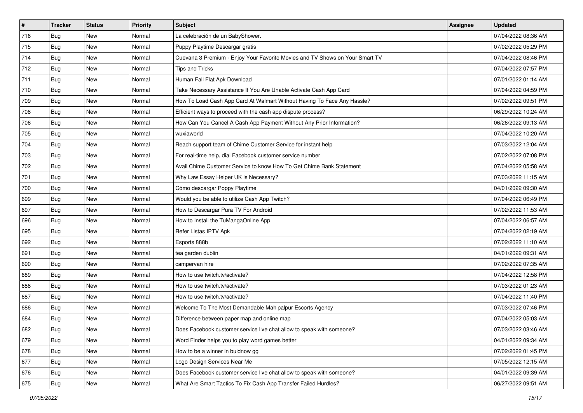| $\sharp$ | <b>Tracker</b> | <b>Status</b> | <b>Priority</b> | Subject                                                                      | Assignee | <b>Updated</b>      |
|----------|----------------|---------------|-----------------|------------------------------------------------------------------------------|----------|---------------------|
| 716      | Bug            | New           | Normal          | La celebración de un BabyShower.                                             |          | 07/04/2022 08:36 AM |
| 715      | Bug            | <b>New</b>    | Normal          | Puppy Playtime Descargar gratis                                              |          | 07/02/2022 05:29 PM |
| 714      | Bug            | New           | Normal          | Cuevana 3 Premium - Enjoy Your Favorite Movies and TV Shows on Your Smart TV |          | 07/04/2022 08:46 PM |
| 712      | Bug            | <b>New</b>    | Normal          | Tips and Tricks                                                              |          | 07/04/2022 07:57 PM |
| 711      | Bug            | <b>New</b>    | Normal          | Human Fall Flat Apk Download                                                 |          | 07/01/2022 01:14 AM |
| 710      | Bug            | New           | Normal          | Take Necessary Assistance If You Are Unable Activate Cash App Card           |          | 07/04/2022 04:59 PM |
| 709      | Bug            | <b>New</b>    | Normal          | How To Load Cash App Card At Walmart Without Having To Face Any Hassle?      |          | 07/02/2022 09:51 PM |
| 708      | Bug            | New           | Normal          | Efficient ways to proceed with the cash app dispute process?                 |          | 06/29/2022 10:24 AM |
| 706      | Bug            | <b>New</b>    | Normal          | How Can You Cancel A Cash App Payment Without Any Prior Information?         |          | 06/26/2022 09:13 AM |
| 705      | Bug            | <b>New</b>    | Normal          | wuxiaworld                                                                   |          | 07/04/2022 10:20 AM |
| 704      | <b>Bug</b>     | New           | Normal          | Reach support team of Chime Customer Service for instant help                |          | 07/03/2022 12:04 AM |
| 703      | Bug            | New           | Normal          | For real-time help, dial Facebook customer service number                    |          | 07/02/2022 07:08 PM |
| 702      | Bug            | New           | Normal          | Avail Chime Customer Service to know How To Get Chime Bank Statement         |          | 07/04/2022 05:58 AM |
| 701      | Bug            | New           | Normal          | Why Law Essay Helper UK is Necessary?                                        |          | 07/03/2022 11:15 AM |
| 700      | Bug            | <b>New</b>    | Normal          | Cómo descargar Poppy Playtime                                                |          | 04/01/2022 09:30 AM |
| 699      | Bug            | New           | Normal          | Would you be able to utilize Cash App Twitch?                                |          | 07/04/2022 06:49 PM |
| 697      | Bug            | <b>New</b>    | Normal          | How to Descargar Pura TV For Android                                         |          | 07/02/2022 11:53 AM |
| 696      | Bug            | <b>New</b>    | Normal          | How to Install the TuMangaOnline App                                         |          | 07/04/2022 06:57 AM |
| 695      | Bug            | New           | Normal          | Refer Listas IPTV Apk                                                        |          | 07/04/2022 02:19 AM |
| 692      | Bug            | <b>New</b>    | Normal          | Esports 888b                                                                 |          | 07/02/2022 11:10 AM |
| 691      | Bug            | New           | Normal          | tea garden dublin                                                            |          | 04/01/2022 09:31 AM |
| 690      | <b>Bug</b>     | <b>New</b>    | Normal          | campervan hire                                                               |          | 07/02/2022 07:35 AM |
| 689      | Bug            | <b>New</b>    | Normal          | How to use twitch.tv/activate?                                               |          | 07/04/2022 12:58 PM |
| 688      | <b>Bug</b>     | New           | Normal          | How to use twitch.tv/activate?                                               |          | 07/03/2022 01:23 AM |
| 687      | Bug            | New           | Normal          | How to use twitch.tv/activate?                                               |          | 07/04/2022 11:40 PM |
| 686      | Bug            | <b>New</b>    | Normal          | Welcome To The Most Demandable Mahipalpur Escorts Agency                     |          | 07/03/2022 07:46 PM |
| 684      | <b>Bug</b>     | New           | Normal          | Difference between paper map and online map                                  |          | 07/04/2022 05:03 AM |
| 682      | <b>Bug</b>     | New           | Normal          | Does Facebook customer service live chat allow to speak with someone?        |          | 07/03/2022 03:46 AM |
| 679      | <b>Bug</b>     | New           | Normal          | Word Finder helps you to play word games better                              |          | 04/01/2022 09:34 AM |
| 678      | <b>Bug</b>     | New           | Normal          | How to be a winner in buidnow gg                                             |          | 07/02/2022 01:45 PM |
| 677      | <b>Bug</b>     | New           | Normal          | Logo Design Services Near Me                                                 |          | 07/05/2022 12:15 AM |
| 676      | <b>Bug</b>     | New           | Normal          | Does Facebook customer service live chat allow to speak with someone?        |          | 04/01/2022 09:39 AM |
| 675      | <b>Bug</b>     | New           | Normal          | What Are Smart Tactics To Fix Cash App Transfer Failed Hurdles?              |          | 06/27/2022 09:51 AM |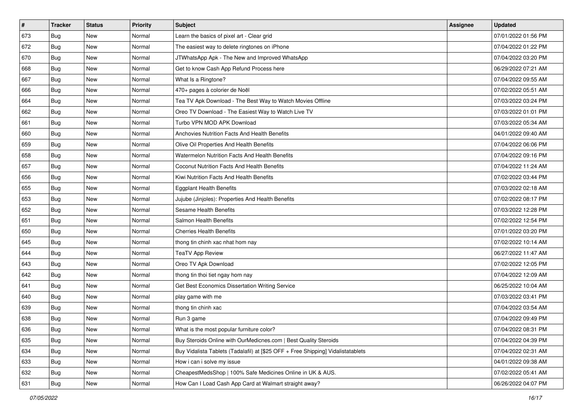| $\sharp$ | <b>Tracker</b> | <b>Status</b> | <b>Priority</b> | <b>Subject</b>                                                                   | Assignee | <b>Updated</b>      |
|----------|----------------|---------------|-----------------|----------------------------------------------------------------------------------|----------|---------------------|
| 673      | Bug            | New           | Normal          | Learn the basics of pixel art - Clear grid                                       |          | 07/01/2022 01:56 PM |
| 672      | Bug            | New           | Normal          | The easiest way to delete ringtones on iPhone                                    |          | 07/04/2022 01:22 PM |
| 670      | Bug            | <b>New</b>    | Normal          | JTWhatsApp Apk - The New and Improved WhatsApp                                   |          | 07/04/2022 03:20 PM |
| 668      | Bug            | New           | Normal          | Get to know Cash App Refund Process here                                         |          | 06/29/2022 07:21 AM |
| 667      | Bug            | <b>New</b>    | Normal          | What Is a Ringtone?                                                              |          | 07/04/2022 09:55 AM |
| 666      | Bug            | New           | Normal          | 470+ pages à colorier de Noël                                                    |          | 07/02/2022 05:51 AM |
| 664      | Bug            | <b>New</b>    | Normal          | Tea TV Apk Download - The Best Way to Watch Movies Offline                       |          | 07/03/2022 03:24 PM |
| 662      | Bug            | New           | Normal          | Oreo TV Download - The Easiest Way to Watch Live TV                              |          | 07/03/2022 01:01 PM |
| 661      | Bug            | New           | Normal          | Turbo VPN MOD APK Download                                                       |          | 07/03/2022 05:34 AM |
| 660      | Bug            | <b>New</b>    | Normal          | Anchovies Nutrition Facts And Health Benefits                                    |          | 04/01/2022 09:40 AM |
| 659      | Bug            | New           | Normal          | Olive Oil Properties And Health Benefits                                         |          | 07/04/2022 06:06 PM |
| 658      | Bug            | New           | Normal          | Watermelon Nutrition Facts And Health Benefits                                   |          | 07/04/2022 09:16 PM |
| 657      | Bug            | New           | Normal          | Coconut Nutrition Facts And Health Benefits                                      |          | 07/04/2022 11:24 AM |
| 656      | Bug            | <b>New</b>    | Normal          | Kiwi Nutrition Facts And Health Benefits                                         |          | 07/02/2022 03:44 PM |
| 655      | Bug            | New           | Normal          | <b>Eggplant Health Benefits</b>                                                  |          | 07/03/2022 02:18 AM |
| 653      | Bug            | <b>New</b>    | Normal          | Jujube (Jinjoles): Properties And Health Benefits                                |          | 07/02/2022 08:17 PM |
| 652      | Bug            | New           | Normal          | <b>Sesame Health Benefits</b>                                                    |          | 07/03/2022 12:28 PM |
| 651      | Bug            | New           | Normal          | Salmon Health Benefits                                                           |          | 07/02/2022 12:54 PM |
| 650      | Bug            | New           | Normal          | <b>Cherries Health Benefits</b>                                                  |          | 07/01/2022 03:20 PM |
| 645      | Bug            | New           | Normal          | thong tin chinh xac nhat hom nay                                                 |          | 07/02/2022 10:14 AM |
| 644      | <b>Bug</b>     | New           | Normal          | <b>TeaTV App Review</b>                                                          |          | 06/27/2022 11:47 AM |
| 643      | Bug            | New           | Normal          | Oreo TV Apk Download                                                             |          | 07/02/2022 12:05 PM |
| 642      | Bug            | <b>New</b>    | Normal          | thong tin thoi tiet ngay hom nay                                                 |          | 07/04/2022 12:09 AM |
| 641      | Bug            | New           | Normal          | Get Best Economics Dissertation Writing Service                                  |          | 06/25/2022 10:04 AM |
| 640      | Bug            | <b>New</b>    | Normal          | play game with me                                                                |          | 07/03/2022 03:41 PM |
| 639      | Bug            | New           | Normal          | thong tin chinh xac                                                              |          | 07/04/2022 03:54 AM |
| 638      | Bug            | New           | Normal          | Run 3 game                                                                       |          | 07/04/2022 09:49 PM |
| 636      | i Bug          | New           | Normal          | What is the most popular furniture color?                                        |          | 07/04/2022 08:31 PM |
| 635      | <b>Bug</b>     | New           | Normal          | Buy Steroids Online with OurMedicnes.com   Best Quality Steroids                 |          | 07/04/2022 04:39 PM |
| 634      | Bug            | New           | Normal          | Buy Vidalista Tablets (Tadalafil) at [\$25 OFF + Free Shipping] Vidalistatablets |          | 07/04/2022 02:31 AM |
| 633      | <b>Bug</b>     | New           | Normal          | How i can i solve my issue                                                       |          | 04/01/2022 09:38 AM |
| 632      | Bug            | New           | Normal          | CheapestMedsShop   100% Safe Medicines Online in UK & AUS.                       |          | 07/02/2022 05:41 AM |
| 631      | <b>Bug</b>     | New           | Normal          | How Can I Load Cash App Card at Walmart straight away?                           |          | 06/26/2022 04:07 PM |